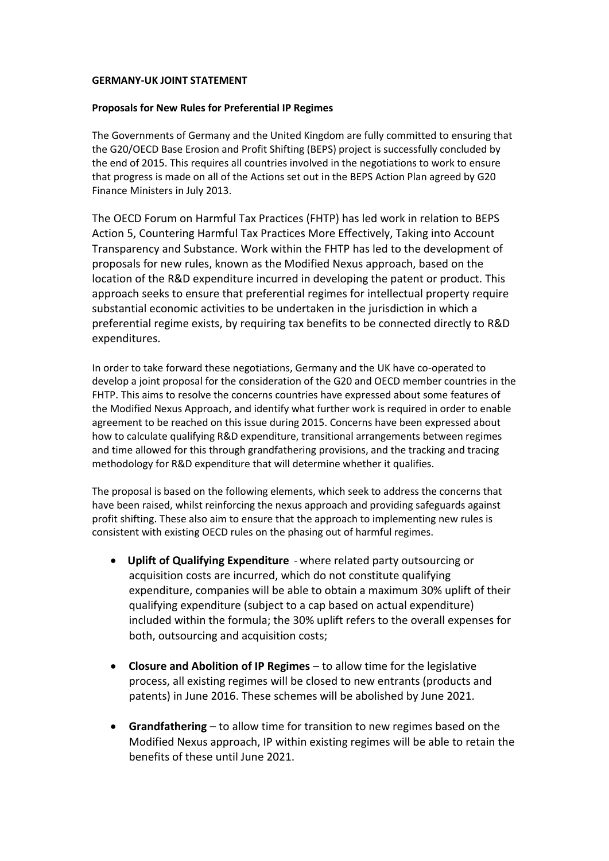## **GERMANY-UK JOINT STATEMENT**

## **Proposals for New Rules for Preferential IP Regimes**

The Governments of Germany and the United Kingdom are fully committed to ensuring that the G20/OECD Base Erosion and Profit Shifting (BEPS) project is successfully concluded by the end of 2015. This requires all countries involved in the negotiations to work to ensure that progress is made on all of the Actions set out in the BEPS Action Plan agreed by G20 Finance Ministers in July 2013.

The OECD Forum on Harmful Tax Practices (FHTP) has led work in relation to BEPS Action 5, Countering Harmful Tax Practices More Effectively, Taking into Account Transparency and Substance. Work within the FHTP has led to the development of proposals for new rules, known as the Modified Nexus approach, based on the location of the R&D expenditure incurred in developing the patent or product. This approach seeks to ensure that preferential regimes for intellectual property require substantial economic activities to be undertaken in the jurisdiction in which a preferential regime exists, by requiring tax benefits to be connected directly to R&D expenditures.

In order to take forward these negotiations, Germany and the UK have co-operated to develop a joint proposal for the consideration of the G20 and OECD member countries in the FHTP. This aims to resolve the concerns countries have expressed about some features of the Modified Nexus Approach, and identify what further work is required in order to enable agreement to be reached on this issue during 2015. Concerns have been expressed about how to calculate qualifying R&D expenditure, transitional arrangements between regimes and time allowed for this through grandfathering provisions, and the tracking and tracing methodology for R&D expenditure that will determine whether it qualifies.

The proposal is based on the following elements, which seek to address the concerns that have been raised, whilst reinforcing the nexus approach and providing safeguards against profit shifting. These also aim to ensure that the approach to implementing new rules is consistent with existing OECD rules on the phasing out of harmful regimes.

- **Uplift of Qualifying Expenditure** where related party outsourcing or acquisition costs are incurred, which do not constitute qualifying expenditure, companies will be able to obtain a maximum 30% uplift of their qualifying expenditure (subject to a cap based on actual expenditure) included within the formula; the 30% uplift refers to the overall expenses for both, outsourcing and acquisition costs;
- **Closure and Abolition of IP Regimes** to allow time for the legislative process, all existing regimes will be closed to new entrants (products and patents) in June 2016. These schemes will be abolished by June 2021.
- **Grandfathering** to allow time for transition to new regimes based on the Modified Nexus approach, IP within existing regimes will be able to retain the benefits of these until June 2021.